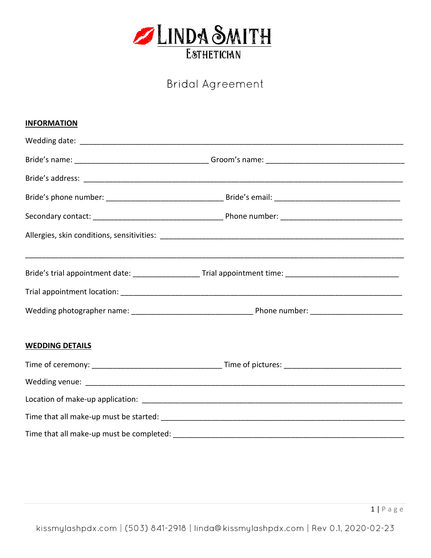

# **Bridal Agreement**

| <b>INFORMATION</b>     |                                                                                                                |  |
|------------------------|----------------------------------------------------------------------------------------------------------------|--|
|                        |                                                                                                                |  |
|                        |                                                                                                                |  |
|                        |                                                                                                                |  |
|                        |                                                                                                                |  |
|                        |                                                                                                                |  |
|                        |                                                                                                                |  |
|                        | Bride's trial appointment date: _____________________Trial appointment time: _________________________________ |  |
|                        |                                                                                                                |  |
|                        |                                                                                                                |  |
| <b>WEDDING DETAILS</b> |                                                                                                                |  |
|                        |                                                                                                                |  |
|                        |                                                                                                                |  |
|                        |                                                                                                                |  |
|                        |                                                                                                                |  |
|                        |                                                                                                                |  |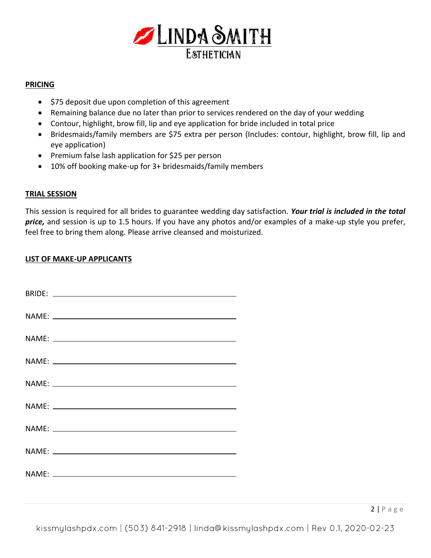

## **PRICING**

- \$75 deposit due upon completion of this agreement
- Remaining balance due no later than prior to services rendered on the day of your wedding
- Contour, highlight, brow fill, lip and eye application for bride included in total price
- Bridesmaids/family members are \$75 extra per person (Includes: contour, highlight, brow fill, lip and eye application)
- Premium false lash application for \$25 per person
- 10% off booking make-up for 3+ bridesmaids/family members

## **TRIAL SESSION**

This session is required for all brides to guarantee wedding day satisfaction. *Your trial is included in the total price,* and session is up to 1.5 hours. If you have any photos and/or examples of a make-up style you prefer, feel free to bring them along. Please arrive cleansed and moisturized.

## **LIST OF MAKE-UP APPLICANTS**